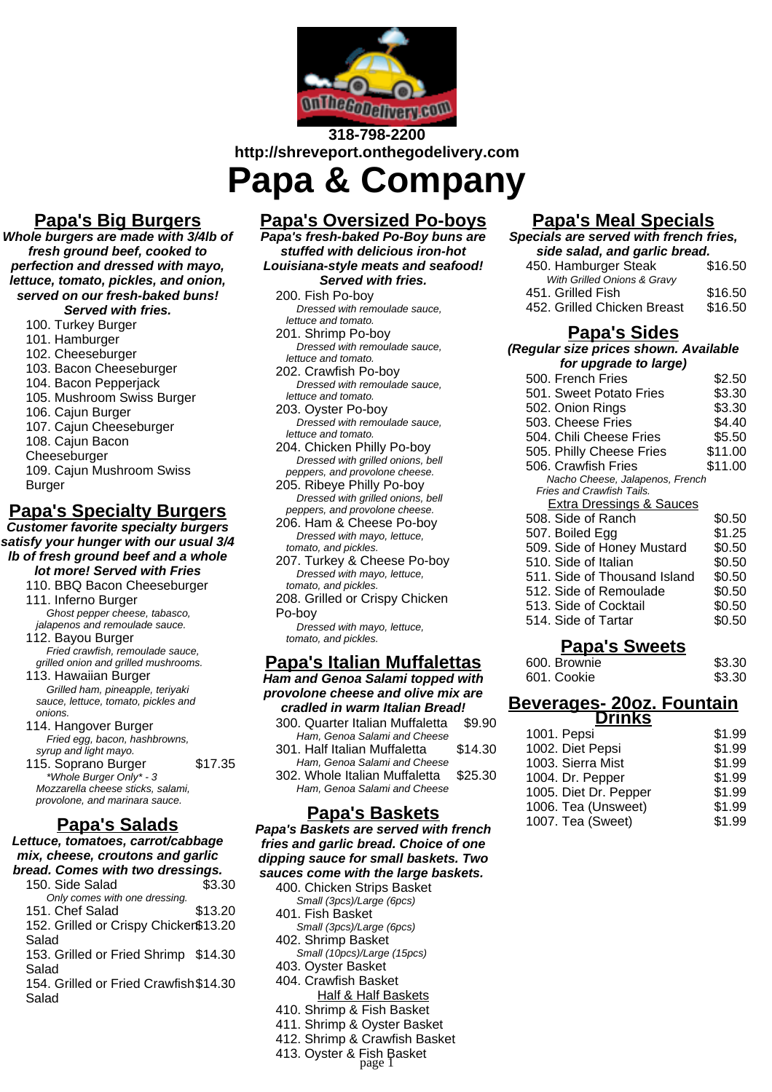

# **318-798-2200 http://shreveport.onthegodelivery.com Papa & Company**

**Papa's Big Burgers**

**Whole burgers are made with 3/4lb of fresh ground beef, cooked to perfection and dressed with mayo, lettuce, tomato, pickles, and onion, served on our fresh-baked buns! Served with fries.**

- 100. Turkey Burger
- 101. Hamburger
- 102. Cheeseburger
- 103. Bacon Cheeseburger
- 104. Bacon Pepperjack
- 105. Mushroom Swiss Burger
- 106. Cajun Burger
- 107. Cajun Cheeseburger
- 108. Cajun Bacon
- Cheeseburger
- 109. Cajun Mushroom Swiss Burger

## **Papa's Specialty Burgers**

**Customer favorite specialty burgers satisfy your hunger with our usual 3/4 lb of fresh ground beef and a whole lot more! Served with Fries**

- 110. BBQ Bacon Cheeseburger
- 111. Inferno Burger Ghost pepper cheese, tabasco, jalapenos and remoulade sauce. 112. Bayou Burger
- Fried crawfish, remoulade sauce, grilled onion and grilled mushrooms.
- 113. Hawaiian Burger Grilled ham, pineapple, teriyaki sauce, lettuce, tomato, pickles and onions.
- 114. Hangover Burger Fried egg, bacon, hashbrowns, syrup and light mayo.
- 115. Soprano Burger \$17.35 \*Whole Burger Only\* - 3 Mozzarella cheese sticks, salami, provolone, and marinara sauce.

## **Papa's Salads**

#### **Lettuce, tomatoes, carrot/cabbage mix, cheese, croutons and garlic bread. Comes with two dressings.**

- 150. Side Salad \$3.30 Only comes with one dressing. 151. Chef Salad \$13.20 152. Grilled or Crispy Chicken \$13.20 Salad
- 153. Grilled or Fried Shrimp \$14.30 Salad

154. Grilled or Fried Crawfish \$14.30 Salad

## **Papa's Oversized Po-boys**

**Papa's fresh-baked Po-Boy buns are stuffed with delicious iron-hot Louisiana-style meats and seafood! Served with fries.**

200. Fish Po-boy Dressed with remoulade sauce, lettuce and tomato. 201. Shrimp Po-boy Dressed with remoulade sauce,

- lettuce and tomato. 202. Crawfish Po-boy Dressed with remoulade sauce, lettuce and tomato.
- 203. Oyster Po-boy Dressed with remoulade sauce, lettuce and tomato.
- 204. Chicken Philly Po-boy Dressed with grilled onions, bell peppers, and provolone cheese.
- 205. Ribeye Philly Po-boy Dressed with grilled onions, bell peppers, and provolone cheese.
- 206. Ham & Cheese Po-boy Dressed with mayo, lettuce, tomato, and pickles.
- 207. Turkey & Cheese Po-boy Dressed with mayo, lettuce, tomato, and pickles.
- 208. Grilled or Crispy Chicken Po-boy Dressed with mayo, lettuce,
- tomato, and pickles.

#### **Papa's Italian Muffalettas**

**Ham and Genoa Salami topped with provolone cheese and olive mix are cradled in warm Italian Bread!**

| craureu III warni kanan Dreau:            |
|-------------------------------------------|
| 300. Quarter Italian Muffaletta<br>\$9.90 |
|                                           |
| \$14.30                                   |
|                                           |
| \$25.30                                   |
|                                           |
| 302. Whole Italian Muffaletta             |

### **Papa's Baskets**

**Papa's Baskets are served with french fries and garlic bread. Choice of one dipping sauce for small baskets. Two sauces come with the large baskets.**

- 400. Chicken Strips Basket Small (3pcs)/Large (6pcs) 401. Fish Basket Small (3pcs)/Large (6pcs) 402. Shrimp Basket Small (10pcs)/Large (15pcs)
- 403. Oyster Basket
- 404. Crawfish Basket
	- Half & Half Baskets
- 410. Shrimp & Fish Basket
- 411. Shrimp & Oyster Basket
- 412. Shrimp & Crawfish Basket
- 413. Oyster & Fish Basket page 1

| <u> Papa's Meal Specials</u>           |         |
|----------------------------------------|---------|
| Specials are served with french fries, |         |
| side salad, and garlic bread.          |         |
| 450. Hamburger Steak                   | \$16.50 |
| With Grilled Onions & Gravy            |         |
| 451, Grilled Fish                      | \$16.50 |
| 452. Grilled Chicken Breast            | \$16.50 |
| <u> Papa's Sides</u>                   |         |
| (Regular size prices shown. Available  |         |
| for upgrade to large)                  |         |
| 500. French Fries                      | \$2.50  |
| 501. Sweet Potato Fries                | \$3.30  |
| 502. Onion Rings                       | \$3.30  |
| 503. Cheese Fries                      | \$4.40  |
| 504. Chili Cheese Fries                | \$5.50  |
| 505. Philly Cheese Fries               | \$11.00 |
| 506. Crawfish Fries                    | \$11.00 |
| Nacho Cheese, Jalapenos, French        |         |
| Fries and Crawfish Tails.              |         |
| <b>Extra Dressings &amp; Sauces</b>    |         |
| 508. Side of Ranch                     | \$0.50  |
| 507. Boiled Egg                        | \$1.25  |
| 509. Side of Honey Mustard             | \$0.50  |
| 510. Side of Italian                   | \$0.50  |
| 511. Side of Thousand Island           |         |
|                                        | \$0.50  |

### **Papa's Sweets**

513. Side of Cocktail \$0.50 514. Side of Tartar \$0.50

| 600. Brownie | \$3.30 |
|--------------|--------|
| 601. Cookie  | \$3.30 |

#### **Beverages- 20oz. Fountain Drinks**

| ------                |        |
|-----------------------|--------|
| 1001. Pepsi           | \$1.99 |
| 1002. Diet Pepsi      | \$1.99 |
| 1003. Sierra Mist     | \$1.99 |
| 1004. Dr. Pepper      | \$1.99 |
| 1005. Diet Dr. Pepper | \$1.99 |
| 1006. Tea (Unsweet)   | \$1.99 |
| 1007. Tea (Sweet)     | \$1.99 |

- 
-